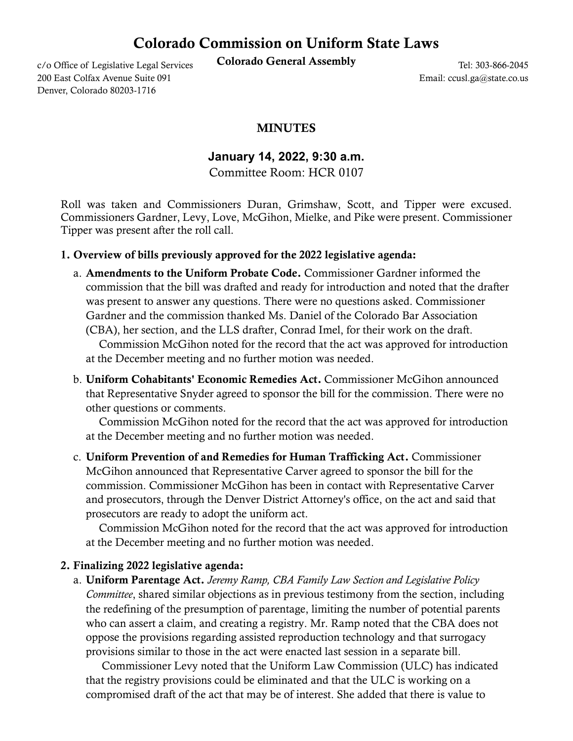## Colorado Commission on Uniform State Laws

c/o Office of Legislative Legal Services Colorado General Assembly

200 East Colfax Avenue Suite 091 Denver, Colorado 80203-1716

Tel: 303-866-2045 Email: ccusl.ga@state.co.us

## MINUTES

**January 14, 2022, 9:30 a.m.**

Committee Room: HCR 0107

Roll was taken and Commissioners Duran, Grimshaw, Scott, and Tipper were excused. Commissioners Gardner, Levy, Love, McGihon, Mielke, and Pike were present. Commissioner Tipper was present after the roll call.

## 1. Overview of bills previously approved for the 2022 legislative agenda:

- a. Amendments to the Uniform Probate Code. Commissioner Gardner informed the commission that the bill was drafted and ready for introduction and noted that the drafter was present to answer any questions. There were no questions asked. Commissioner Gardner and the commission thanked Ms. Daniel of the Colorado Bar Association (CBA), her section, and the LLS drafter, Conrad Imel, for their work on the draft. Commission McGihon noted for the record that the act was approved for introduction at the December meeting and no further motion was needed.
- b. Uniform Cohabitants' Economic Remedies Act. Commissioner McGihon announced that Representative Snyder agreed to sponsor the bill for the commission. There were no other questions or comments.

 Commission McGihon noted for the record that the act was approved for introduction at the December meeting and no further motion was needed.

c. Uniform Prevention of and Remedies for Human Trafficking Act. Commissioner McGihon announced that Representative Carver agreed to sponsor the bill for the commission. Commissioner McGihon has been in contact with Representative Carver and prosecutors, through the Denver District Attorney's office, on the act and said that prosecutors are ready to adopt the uniform act.

 Commission McGihon noted for the record that the act was approved for introduction at the December meeting and no further motion was needed.

## 2. Finalizing 2022 legislative agenda:

a. Uniform Parentage Act. *Jeremy Ramp, CBA Family Law Section and Legislative Policy Committee*, shared similar objections as in previous testimony from the section, including the redefining of the presumption of parentage, limiting the number of potential parents who can assert a claim, and creating a registry. Mr. Ramp noted that the CBA does not oppose the provisions regarding assisted reproduction technology and that surrogacy provisions similar to those in the act were enacted last session in a separate bill.

 Commissioner Levy noted that the Uniform Law Commission (ULC) has indicated that the registry provisions could be eliminated and that the ULC is working on a compromised draft of the act that may be of interest. She added that there is value to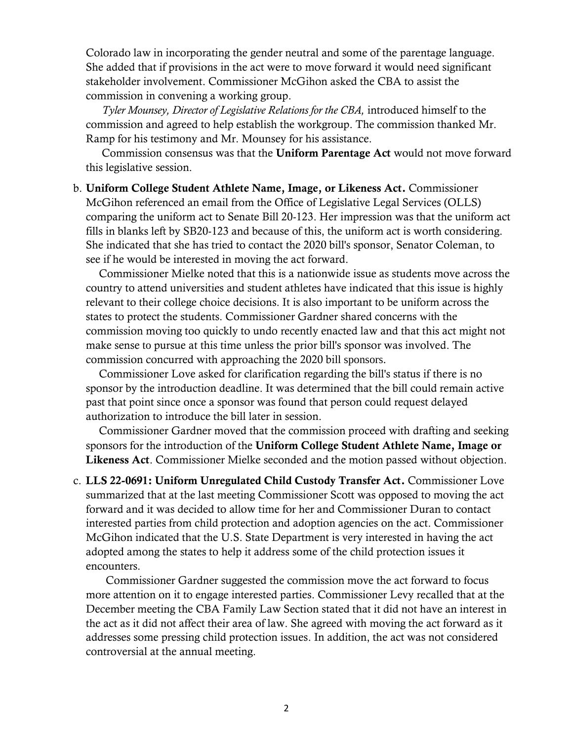Colorado law in incorporating the gender neutral and some of the parentage language. She added that if provisions in the act were to move forward it would need significant stakeholder involvement. Commissioner McGihon asked the CBA to assist the commission in convening a working group.

 *Tyler Mounsey, Director of Legislative Relations for the CBA,* introduced himself to the commission and agreed to help establish the workgroup. The commission thanked Mr. Ramp for his testimony and Mr. Mounsey for his assistance.

 Commission consensus was that the Uniform Parentage Act would not move forward this legislative session.

b. Uniform College Student Athlete Name, Image, or Likeness Act. Commissioner McGihon referenced an email from the Office of Legislative Legal Services (OLLS) comparing the uniform act to Senate Bill 20-123. Her impression was that the uniform act fills in blanks left by SB20-123 and because of this, the uniform act is worth considering. She indicated that she has tried to contact the 2020 bill's sponsor, Senator Coleman, to see if he would be interested in moving the act forward.

 Commissioner Mielke noted that this is a nationwide issue as students move across the country to attend universities and student athletes have indicated that this issue is highly relevant to their college choice decisions. It is also important to be uniform across the states to protect the students. Commissioner Gardner shared concerns with the commission moving too quickly to undo recently enacted law and that this act might not make sense to pursue at this time unless the prior bill's sponsor was involved. The commission concurred with approaching the 2020 bill sponsors.

 Commissioner Love asked for clarification regarding the bill's status if there is no sponsor by the introduction deadline. It was determined that the bill could remain active past that point since once a sponsor was found that person could request delayed authorization to introduce the bill later in session.

 Commissioner Gardner moved that the commission proceed with drafting and seeking sponsors for the introduction of the Uniform College Student Athlete Name, Image or Likeness Act. Commissioner Mielke seconded and the motion passed without objection.

c. LLS 22-0691: Uniform Unregulated Child Custody Transfer Act. Commissioner Love summarized that at the last meeting Commissioner Scott was opposed to moving the act forward and it was decided to allow time for her and Commissioner Duran to contact interested parties from child protection and adoption agencies on the act. Commissioner McGihon indicated that the U.S. State Department is very interested in having the act adopted among the states to help it address some of the child protection issues it encounters.

 Commissioner Gardner suggested the commission move the act forward to focus more attention on it to engage interested parties. Commissioner Levy recalled that at the December meeting the CBA Family Law Section stated that it did not have an interest in the act as it did not affect their area of law. She agreed with moving the act forward as it addresses some pressing child protection issues. In addition, the act was not considered controversial at the annual meeting.